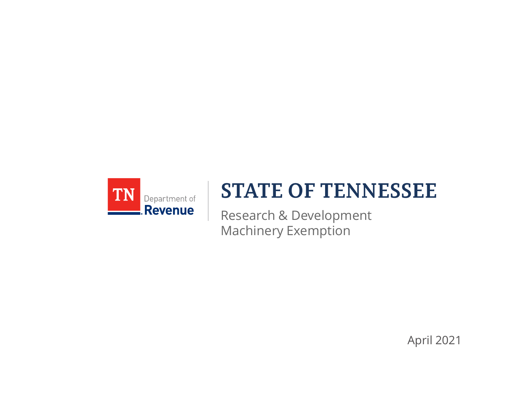

## **STATE OF TENNESSEE**

Research & Development Machinery Exemption

April 2021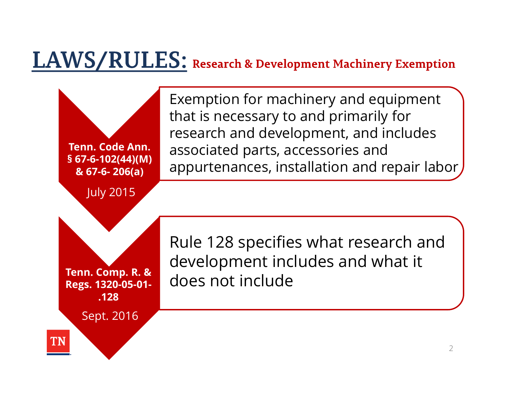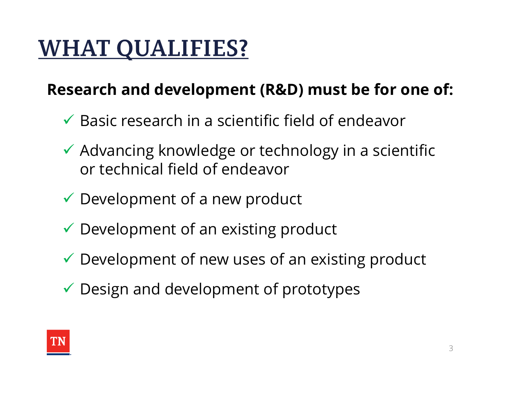# **WHAT QUALIFIES?**

### Research and development (R&D) must be for one of:

- $\checkmark$  Basic research in a scientific field of endeavor
- $\checkmark$  Advancing knowledge or technology in a scientific or technical field of endeavor
- $\checkmark$  Development of a new product
- $\checkmark$  Development of an existing product
- $\checkmark$  Development of new uses of an existing product
- $\checkmark$  Design and development of prototypes

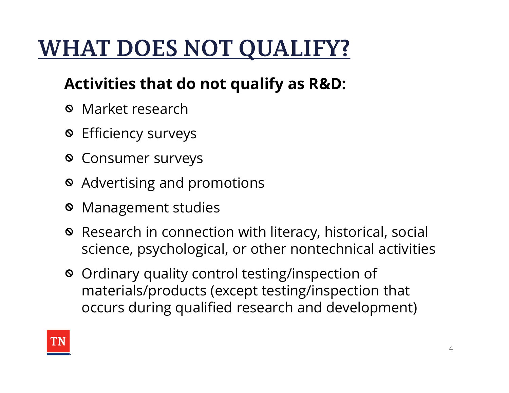# **WHAT DOES NOT QUALIFY?**

### Activities that do not qualify as R&D:

- Market research
- Efficiency surveys
- Consumer surveys
- Advertising and promotions
- Management studies
- Research in connection with literacy, historical, social science, psychological, or other nontechnical activities
- Ordinary quality control testing/inspection of materials/products (except testing/inspection that occurs during qualified research and development)

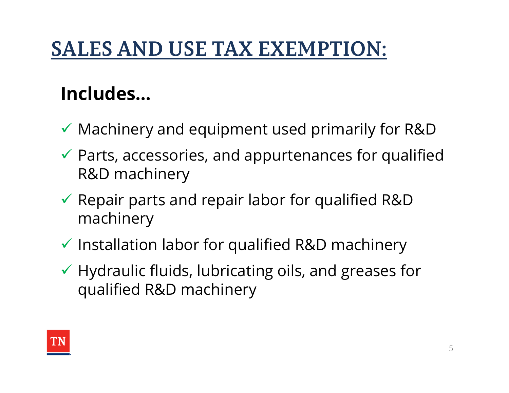## **SALES AND USE TAX EXEMPTION:**

## Includes…

- $\checkmark$  Machinery and equipment used primarily for R&D
- $\checkmark$  Parts, accessories, and appurtenances for qualified R&D machinery
- $\checkmark$  Repair parts and repair labor for qualified R&D machinery
- $\checkmark$  Installation labor for qualified R&D machinery
- $\checkmark$  Hydraulic fluids, lubricating oils, and greases for qualified R&D machinery

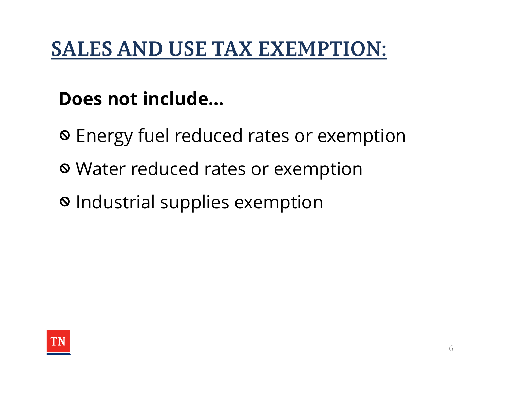## **SALES AND USE TAX EXEMPTION:**

### Does not include…

- Energy fuel reduced rates or exemption
- Water reduced rates or exemption
- Industrial supplies exemption

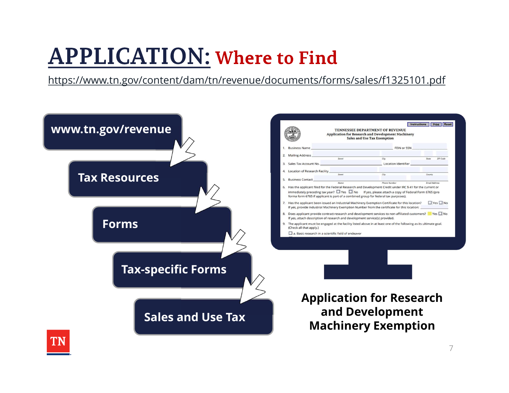# **APPLICATION: Where to Find**

https://www.tn.gov/content/dam/tn/revenue/documents/forms/sales/f1325101.pdf



7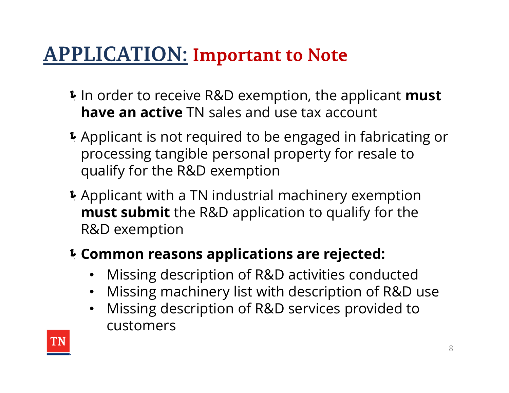- If In order to receive R&D exemption, the applicant must **ILICATION: Important to Note<br>In order to receive R&D exemption, the applicant mus<br>have an active TN sales and use tax account<br>Applicant is not required to be engaged in fabricating<br>processing tangible personal property fo**
- Applicant is not required to be engaged in fabricating or processing tangible personal property for resale to qualify for the R&D exemption
- Applicant with a TN industrial machinery exemption **must submit** the R&D application to qualify for the R&D exemption

#### Common reasons applications are rejected:

- Missing description of R&D activities conducted
- Missing machinery list with description of R&D use
- Missing description of R&D services provided to customers

![](_page_7_Picture_8.jpeg)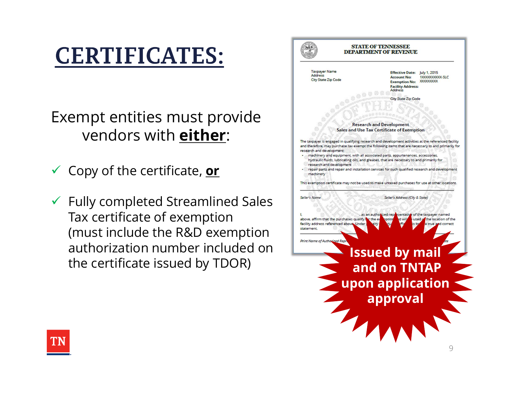# **CERTIFICATES:**

Exempt entities must provide vendors with either:

- 
- $\checkmark$  Fully completed Streamlined Sales  $\checkmark$ Tax certificate of exemption (must include the R&D exemption  $\parallel \frac{statement}{\text{prior Number of Author}}\parallel}$ authorization number included on authorization number included on<br>the certificate issued by TDOR) and on TNTAP

![](_page_8_Picture_4.jpeg)

![](_page_8_Picture_5.jpeg)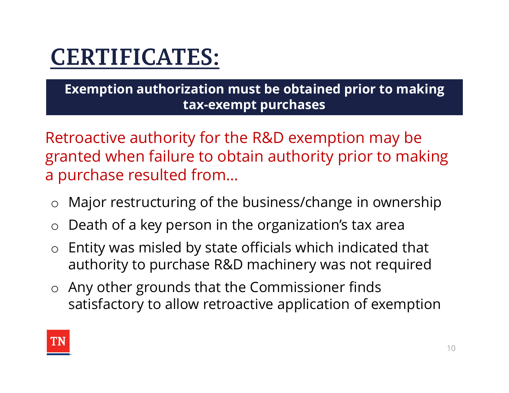# **CERTIFICATES:**

Exemption authorization must be obtained prior to making tax-exempt purchases

Retroactive authority for the R&D exemption may be granted when failure to obtain authority prior to making a purchase resulted from…

- o Major restructuring of the business/change in ownership
- o Death of a key person in the organization's tax area
- o Entity was misled by state officials which indicated that authority to purchase R&D machinery was not required
- o Any other grounds that the Commissioner finds satisfactory to allow retroactive application of exemption

![](_page_9_Picture_7.jpeg)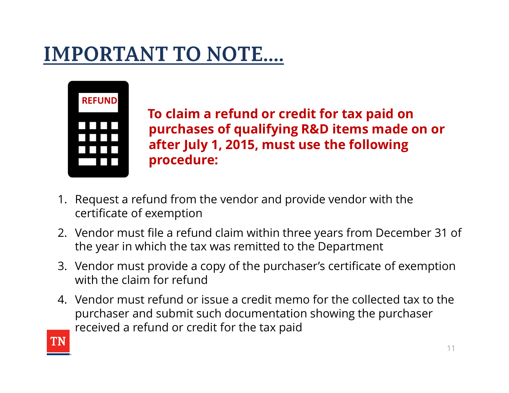![](_page_10_Picture_1.jpeg)

To claim a refund or credit for tax paid on purchases of qualifying R&D items made on or after July 1, 2015, must use the following procedure: **1. Refund From The VI CONCILE 1.1.**<br> **1. Request a refund from the vendor and provide vendor with the certificate of exemption**<br> **1. Request a refund from the vendor and provide vendor with the certificate of exemption**<br> **EXECUADE THE SET THE SET THE SET THE SET THE SET THE SET THE PULY 1, 2015, must use the following procedure:**<br>
1. Request a refund from the vendor and provide vendor with the certificate of exemption<br>
2. Vendor must file **3. In the purchases of qualifying R&D items made on or**<br>**3. Request a refund from the vendor and provide vendor with the<br>
certificate of exemption<br>
2. Vendor must file a refund claim within three years from December 31** 

- certificate of exemption
- the year in which the tax was remitted to the Department
- with the claim for refund
- **Example 1. 2015, must use the following<br>
procedure:**<br>
1. Request a refund from the vendor and provide vendor with the<br>
certificate of exemption<br>
2. Vendor must file a refund claim within three years from December 31 of<br>
1 purchaser and submit such documentation showing the purchaser received a refund or credit for the tax paid

![](_page_10_Picture_7.jpeg)